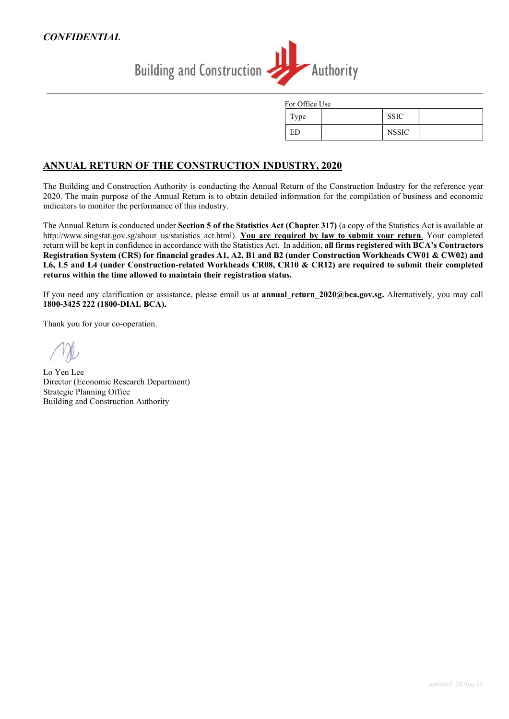

| For Office Use |  |              |  |
|----------------|--|--------------|--|
| Type           |  | <b>SSIC</b>  |  |
| ED             |  | <b>NSSIC</b> |  |

### ANNUAL RETURN OF THE CONSTRUCTION INDUSTRY, 2020

The Building and Construction Authority is conducting the Annual Return of the Construction Industry for the reference year 2020. The main purpose of the Annual Return is to obtain detailed information for the compilation of business and economic indicators to monitor the performance of this industry.

The Annual Return is conducted under Section 5 of the Statistics Act (Chapter 317) (a copy of the Statistics Act is available at http://www.singstat.gov.sg/about\_us/statistics\_act.html). You are required by law to submit your return. Your completed return will be kept in confidence in accordance with the Statistics Act. In addition, all firms registered with BCA's Contractors Registration System (CRS) for financial grades A1, A2, B1 and B2 (under Construction Workheads CW01 & CW02) and L6, L5 and L4 (under Construction-related Workheads CR08, CR10 & CR12) are required to submit their completed returns within the time allowed to maintain their registration status.

If you need any clarification or assistance, please email us at **annual return 2020@bca.gov.sg.** Alternatively, you may call 1800-3425 222 (1800-DIAL BCA).

Thank you for your co-operation.

Lo Yen Lee Director (Economic Research Department) Strategic Planning Office Building and Construction Authority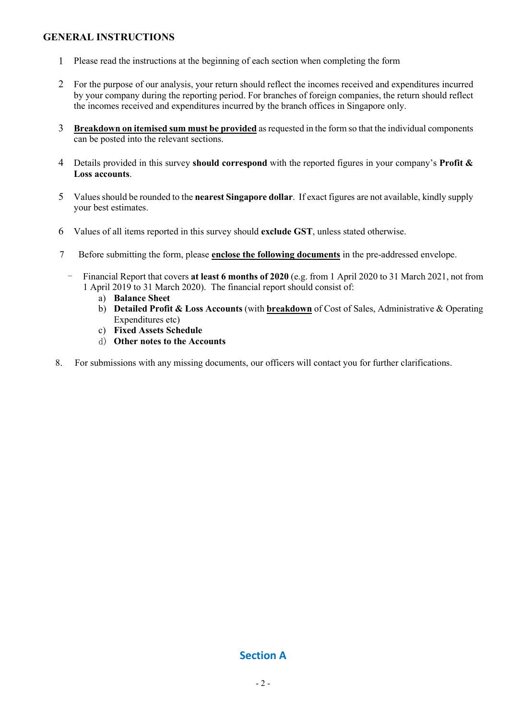### GENERAL INSTRUCTIONS

- 1 Please read the instructions at the beginning of each section when completing the form
- 2 For the purpose of our analysis, your return should reflect the incomes received and expenditures incurred by your company during the reporting period. For branches of foreign companies, the return should reflect the incomes received and expenditures incurred by the branch offices in Singapore only.
- 3 Breakdown on itemised sum must be provided as requested in the form so that the individual components can be posted into the relevant sections.
- 4 Details provided in this survey should correspond with the reported figures in your company's Profit & Loss accounts.
- 5 Values should be rounded to the nearest Singapore dollar. If exact figures are not available, kindly supply your best estimates.
- 6 Values of all items reported in this survey should exclude GST, unless stated otherwise.
- 7 Before submitting the form, please enclose the following documents in the pre-addressed envelope.
	- Financial Report that covers at least 6 months of 2020 (e.g. from 1 April 2020 to 31 March 2021, not from 1 April 2019 to 31 March 2020). The financial report should consist of:
		- a) Balance Sheet
		- b) Detailed Profit & Loss Accounts (with breakdown of Cost of Sales, Administrative & Operating Expenditures etc)
		- c) Fixed Assets Schedule
		- d) Other notes to the Accounts
- 8. For submissions with any missing documents, our officers will contact you for further clarifications.

### Section A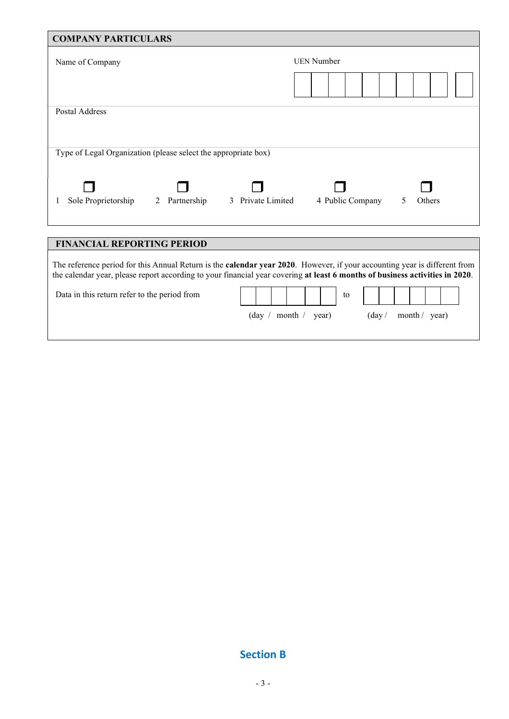| <b>COMPANY PARTICULARS</b>                                                                                                                                                                                                                                        |                                 |
|-------------------------------------------------------------------------------------------------------------------------------------------------------------------------------------------------------------------------------------------------------------------|---------------------------------|
| Name of Company                                                                                                                                                                                                                                                   | <b>UEN Number</b>               |
|                                                                                                                                                                                                                                                                   |                                 |
|                                                                                                                                                                                                                                                                   |                                 |
| Postal Address                                                                                                                                                                                                                                                    |                                 |
|                                                                                                                                                                                                                                                                   |                                 |
| Type of Legal Organization (please select the appropriate box)                                                                                                                                                                                                    |                                 |
|                                                                                                                                                                                                                                                                   |                                 |
| 3 Private Limited<br>Sole Proprietorship<br>2 Partnership                                                                                                                                                                                                         | 4 Public Company<br>5<br>Others |
|                                                                                                                                                                                                                                                                   |                                 |
| <b>FINANCIAL REPORTING PERIOD</b>                                                                                                                                                                                                                                 |                                 |
| The reference period for this Annual Return is the <b>calendar year 2020</b> . However, if your accounting year is different from<br>the calendar year, please report according to your financial year covering at least 6 months of business activities in 2020. |                                 |
| Data in this return refer to the period from                                                                                                                                                                                                                      | to                              |

 $\left(\text{day}\ / \ \text{month}\ /\ \text{year}\right) \qquad \qquad \left(\text{day}\ /\ \text{month}\ /\ \text{year}\right)$ 

# Section B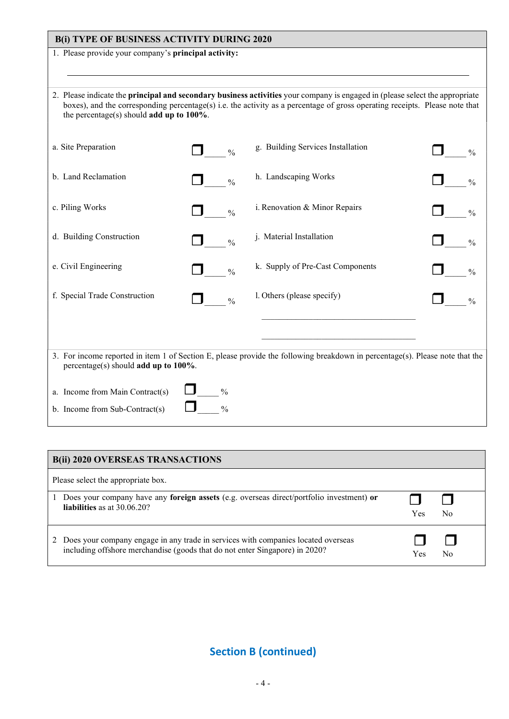| <b>B(i) TYPE OF BUSINESS ACTIVITY DURING 2020</b>                                                                                                                                                                                                                                                           |               |                                                                                                                              |               |  |  |  |
|-------------------------------------------------------------------------------------------------------------------------------------------------------------------------------------------------------------------------------------------------------------------------------------------------------------|---------------|------------------------------------------------------------------------------------------------------------------------------|---------------|--|--|--|
| 1. Please provide your company's principal activity:                                                                                                                                                                                                                                                        |               |                                                                                                                              |               |  |  |  |
|                                                                                                                                                                                                                                                                                                             |               |                                                                                                                              |               |  |  |  |
| 2. Please indicate the principal and secondary business activities your company is engaged in (please select the appropriate<br>boxes), and the corresponding percentage(s) i.e. the activity as a percentage of gross operating receipts. Please note that<br>the percentage(s) should add up to $100\%$ . |               |                                                                                                                              |               |  |  |  |
| a. Site Preparation                                                                                                                                                                                                                                                                                         | $\frac{0}{0}$ | g. Building Services Installation                                                                                            | $\frac{0}{0}$ |  |  |  |
| b. Land Reclamation                                                                                                                                                                                                                                                                                         | $\frac{0}{0}$ | h. Landscaping Works                                                                                                         | $\frac{0}{0}$ |  |  |  |
| c. Piling Works                                                                                                                                                                                                                                                                                             | $\frac{0}{0}$ | i. Renovation & Minor Repairs                                                                                                | $\frac{0}{0}$ |  |  |  |
| d. Building Construction                                                                                                                                                                                                                                                                                    | $\frac{0}{0}$ | j. Material Installation                                                                                                     | $\frac{0}{0}$ |  |  |  |
| e. Civil Engineering                                                                                                                                                                                                                                                                                        | $\frac{0}{0}$ | k. Supply of Pre-Cast Components                                                                                             | $\frac{0}{0}$ |  |  |  |
| f. Special Trade Construction                                                                                                                                                                                                                                                                               | $\frac{0}{0}$ | l. Others (please specify)                                                                                                   | $\frac{0}{0}$ |  |  |  |
|                                                                                                                                                                                                                                                                                                             |               |                                                                                                                              |               |  |  |  |
| percentage(s) should add up to 100%.                                                                                                                                                                                                                                                                        |               | 3. For income reported in item 1 of Section E, please provide the following breakdown in percentage(s). Please note that the |               |  |  |  |
| $\frac{0}{0}$<br>a. Income from Main Contract(s)                                                                                                                                                                                                                                                            |               |                                                                                                                              |               |  |  |  |
| b. Income from Sub-Contract(s)                                                                                                                                                                                                                                                                              | $\frac{0}{0}$ |                                                                                                                              |               |  |  |  |

| <b>B(ii) 2020 OVERSEAS TRANSACTIONS</b>                                                  |     |
|------------------------------------------------------------------------------------------|-----|
| Please select the appropriate box.                                                       |     |
| Does your company have any foreign assets (e.g. overseas direct/portfolio investment) or | Yes |
| liabilities as at $30.06.20$ ?                                                           | No  |
| 2 Does your company engage in any trade in services with companies located overseas      | No  |
| including offshore merchandise (goods that do not enter Singapore) in 2020?              | Yes |

Section B (continued)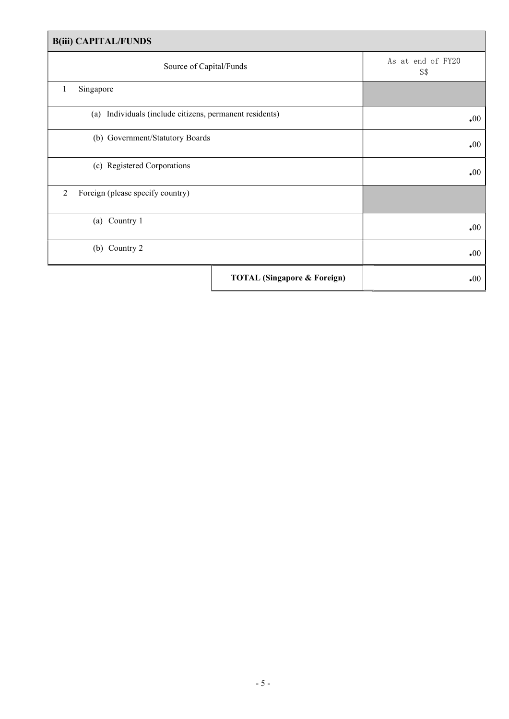| <b>B(iii) CAPITAL/FUNDS</b>                             |                                        |                          |  |  |  |
|---------------------------------------------------------|----------------------------------------|--------------------------|--|--|--|
| Source of Capital/Funds                                 |                                        | As at end of FY20<br>S\$ |  |  |  |
| Singapore<br>1                                          |                                        |                          |  |  |  |
| (a) Individuals (include citizens, permanent residents) | $\boldsymbol{.}00$                     |                          |  |  |  |
| (b) Government/Statutory Boards                         | $\boldsymbol{\cdot}00$                 |                          |  |  |  |
| (c) Registered Corporations                             | $\boldsymbol{.}00$                     |                          |  |  |  |
| 2<br>Foreign (please specify country)                   |                                        |                          |  |  |  |
| Country 1<br>(a)                                        | $\boldsymbol{.}00$                     |                          |  |  |  |
| (b) Country 2                                           |                                        | $\boldsymbol{.}00$       |  |  |  |
|                                                         | <b>TOTAL (Singapore &amp; Foreign)</b> | $\cdot 00$               |  |  |  |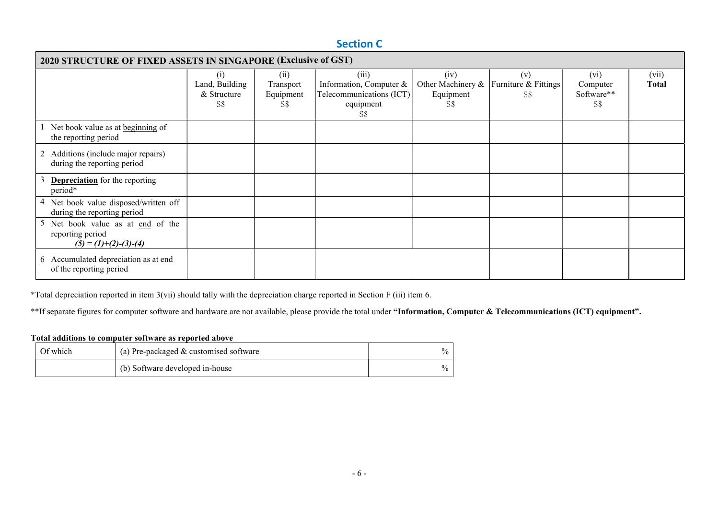## Section C

| <b>2020 STRUCTURE OF FIXED ASSETS IN SINGAPORE (Exclusive of GST)</b>            |                                                          |                                      |                                                                                  |                                               |                                    |                                       |                       |
|----------------------------------------------------------------------------------|----------------------------------------------------------|--------------------------------------|----------------------------------------------------------------------------------|-----------------------------------------------|------------------------------------|---------------------------------------|-----------------------|
|                                                                                  | $\left(1\right)$<br>Land, Building<br>& Structure<br>S\$ | (i)<br>Transport<br>Equipment<br>S\$ | (iii)<br>Information, Computer &<br>Telecommunications (ICT)<br>equipment<br>S\$ | (iv)<br>Other Machinery &<br>Equipment<br>S\$ | (v)<br>Furniture & Fittings<br>S\$ | (vi)<br>Computer<br>Software**<br>S\$ | (vii)<br><b>Total</b> |
| Net book value as at beginning of<br>the reporting period                        |                                                          |                                      |                                                                                  |                                               |                                    |                                       |                       |
| 2 Additions (include major repairs)<br>during the reporting period               |                                                          |                                      |                                                                                  |                                               |                                    |                                       |                       |
| <b>Depreciation</b> for the reporting<br>period*                                 |                                                          |                                      |                                                                                  |                                               |                                    |                                       |                       |
| 4 Net book value disposed/written off<br>during the reporting period             |                                                          |                                      |                                                                                  |                                               |                                    |                                       |                       |
| 5 Net book value as at end of the<br>reporting period<br>$(5) = (1)+(2)-(3)-(4)$ |                                                          |                                      |                                                                                  |                                               |                                    |                                       |                       |
| 6 Accumulated depreciation as at end<br>of the reporting period                  |                                                          |                                      |                                                                                  |                                               |                                    |                                       |                       |

\*Total depreciation reported in item 3(vii) should tally with the depreciation charge reported in Section F (iii) item 6.

\*\*If separate figures for computer software and hardware are not available, please provide the total under "Information, Computer & Telecommunications (ICT) equipment".

#### Total additions to computer software as reported above

| Of which | $($ a) Pre-packaged & customised software | $\%$ |
|----------|-------------------------------------------|------|
|          | (b) Software developed in-house           | $\%$ |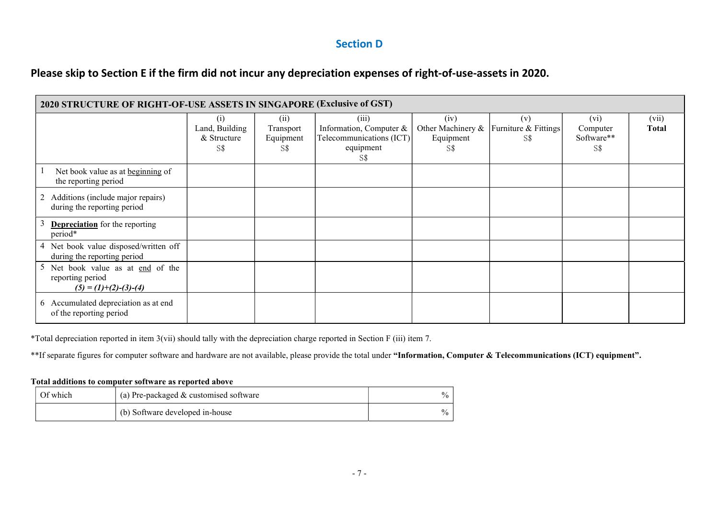## Section D

# Please skip to Section E if the firm did not incur any depreciation expenses of right-of-use-assets in 2020.

| 2020 STRUCTURE OF RIGHT-OF-USE ASSETS IN SINGAPORE (Exclusive of GST)            |                                             |                                       |                                                                                  |                                               |                                    |                                       |                |
|----------------------------------------------------------------------------------|---------------------------------------------|---------------------------------------|----------------------------------------------------------------------------------|-----------------------------------------------|------------------------------------|---------------------------------------|----------------|
|                                                                                  | (i)<br>Land, Building<br>& Structure<br>S\$ | (ii)<br>Transport<br>Equipment<br>S\$ | (iii)<br>Information, Computer &<br>Telecommunications (ICT)<br>equipment<br>S\$ | (iv)<br>Other Machinery &<br>Equipment<br>S\$ | (v)<br>Furniture & Fittings<br>S\$ | (vi)<br>Computer<br>Software**<br>S\$ | (vii)<br>Total |
| Net book value as at beginning of<br>the reporting period                        |                                             |                                       |                                                                                  |                                               |                                    |                                       |                |
| 2 Additions (include major repairs)<br>during the reporting period               |                                             |                                       |                                                                                  |                                               |                                    |                                       |                |
| <b>Depreciation</b> for the reporting<br>period*                                 |                                             |                                       |                                                                                  |                                               |                                    |                                       |                |
| 4 Net book value disposed/written off<br>during the reporting period             |                                             |                                       |                                                                                  |                                               |                                    |                                       |                |
| 5 Net book value as at end of the<br>reporting period<br>$(5) = (1)+(2)-(3)-(4)$ |                                             |                                       |                                                                                  |                                               |                                    |                                       |                |
| 6 Accumulated depreciation as at end<br>of the reporting period                  |                                             |                                       |                                                                                  |                                               |                                    |                                       |                |

\*Total depreciation reported in item 3(vii) should tally with the depreciation charge reported in Section F (iii) item 7.

\*\*If separate figures for computer software and hardware are not available, please provide the total under "Information, Computer & Telecommunications (ICT) equipment".

#### Total additions to computer software as reported above

| Of which | (a) Pre-packaged $&$ customised software | $\frac{0}{0}$ |
|----------|------------------------------------------|---------------|
|          | (b) Software developed in-house          | $\frac{0}{0}$ |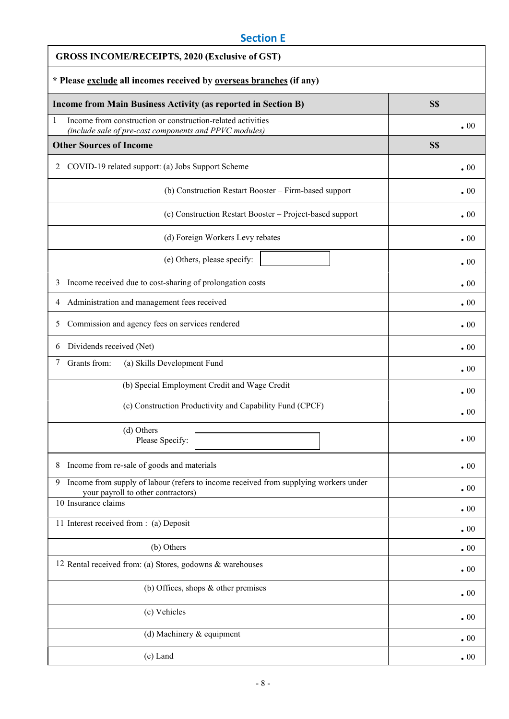# Section E

| <b>GROSS INCOME/RECEIPTS, 2020 (Exclusive of GST)</b>                                                                            |            |  |  |
|----------------------------------------------------------------------------------------------------------------------------------|------------|--|--|
| * Please exclude all incomes received by overseas branches (if any)                                                              |            |  |  |
| <b>Income from Main Business Activity (as reported in Section B)</b>                                                             | S\$        |  |  |
| 1<br>Income from construction or construction-related activities<br>(include sale of pre-cast components and PPVC modules)       | $\cdot 00$ |  |  |
| <b>Other Sources of Income</b>                                                                                                   | S\$        |  |  |
| COVID-19 related support: (a) Jobs Support Scheme<br>2                                                                           | $\cdot 00$ |  |  |
| (b) Construction Restart Booster - Firm-based support                                                                            | $\cdot 00$ |  |  |
| (c) Construction Restart Booster - Project-based support                                                                         | $\cdot 00$ |  |  |
| (d) Foreign Workers Levy rebates                                                                                                 | $\cdot 00$ |  |  |
| (e) Others, please specify:                                                                                                      | $\cdot 00$ |  |  |
| Income received due to cost-sharing of prolongation costs<br>3                                                                   | $\cdot 00$ |  |  |
| Administration and management fees received<br>4                                                                                 | $\cdot 00$ |  |  |
| Commission and agency fees on services rendered<br>5                                                                             | $\cdot 00$ |  |  |
| Dividends received (Net)<br>6                                                                                                    | $\cdot 00$ |  |  |
| Grants from:<br>(a) Skills Development Fund<br>7                                                                                 | $\cdot 00$ |  |  |
| (b) Special Employment Credit and Wage Credit                                                                                    | $\cdot 00$ |  |  |
| (c) Construction Productivity and Capability Fund (CPCF)                                                                         | $\cdot 00$ |  |  |
| (d) Others<br>Please Specify:                                                                                                    | $\cdot 00$ |  |  |
| Income from re-sale of goods and materials<br>8                                                                                  | $\cdot 00$ |  |  |
| Income from supply of labour (refers to income received from supplying workers under<br>9.<br>your payroll to other contractors) | $\cdot 00$ |  |  |
| 10 Insurance claims                                                                                                              | $\cdot 00$ |  |  |
| 11 Interest received from : (a) Deposit                                                                                          | $\cdot 00$ |  |  |
| (b) Others                                                                                                                       | $\cdot 00$ |  |  |
| 12 Rental received from: (a) Stores, godowns & warehouses                                                                        | $\cdot 00$ |  |  |
| (b) Offices, shops $\&$ other premises                                                                                           | $\cdot 00$ |  |  |
| (c) Vehicles                                                                                                                     | $\cdot 00$ |  |  |
| (d) Machinery & equipment                                                                                                        | $\cdot 00$ |  |  |
| (e) Land                                                                                                                         | $\cdot 00$ |  |  |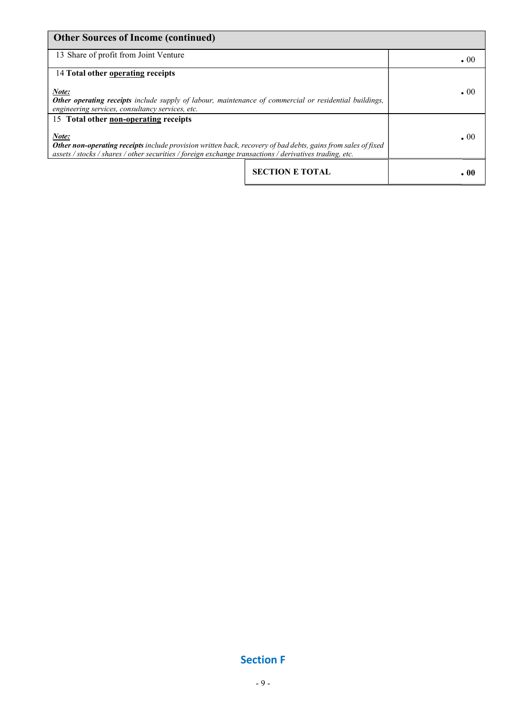| <b>Other Sources of Income (continued)</b>                                                                                                                                                                                        |                        |            |
|-----------------------------------------------------------------------------------------------------------------------------------------------------------------------------------------------------------------------------------|------------------------|------------|
| 13 Share of profit from Joint Venture                                                                                                                                                                                             |                        | $\cdot$ 00 |
| 14 Total other operating receipts                                                                                                                                                                                                 |                        |            |
| Note:<br>Other operating receipts include supply of labour, maintenance of commercial or residential buildings,<br>engineering services, consultancy services, etc.                                                               |                        | .00        |
| 15 Total other non-operating receipts                                                                                                                                                                                             |                        |            |
| Note:<br>Other non-operating receipts include provision written back, recovery of bad debts, gains from sales of fixed<br>assets / stocks / shares / other securities / foreign exchange transactions / derivatives trading, etc. |                        | $.00 \,$   |
|                                                                                                                                                                                                                                   | <b>SECTION E TOTAL</b> | . 00       |

## Section F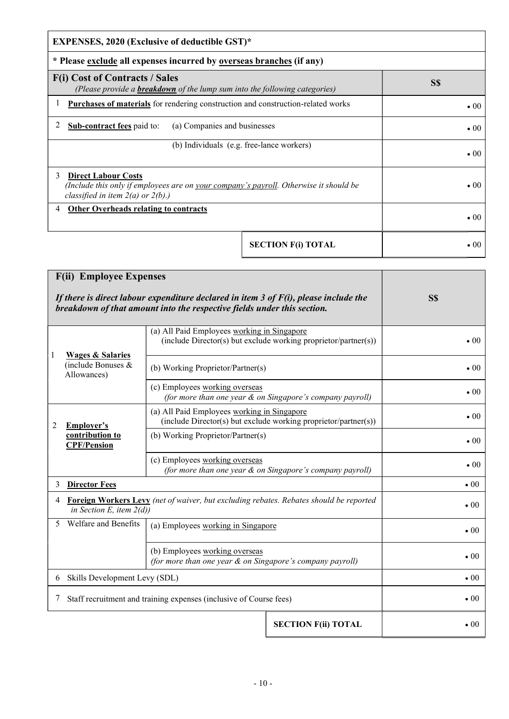| <b>EXPENSES, 2020 (Exclusive of deductible GST)*</b>                                                                                                               |                           |              |  |
|--------------------------------------------------------------------------------------------------------------------------------------------------------------------|---------------------------|--------------|--|
| * Please exclude all expenses incurred by overseas branches (if any)                                                                                               |                           |              |  |
| <b>F(i) Cost of Contracts / Sales</b><br>(Please provide a <b>breakdown</b> of the lump sum into the following categories)                                         |                           | S\$          |  |
| Purchases of materials for rendering construction and construction-related works                                                                                   |                           | $\bullet$ 00 |  |
| 2<br><b>Sub-contract fees paid to:</b><br>(a) Companies and businesses                                                                                             |                           | $\bullet$ 00 |  |
| (b) Individuals (e.g. free-lance workers)                                                                                                                          |                           | $\bullet$ 00 |  |
| <b>Direct Labour Costs</b><br>3<br>(Include this only if employees are on your company's payroll. Otherwise it should be<br>classified in item $2(a)$ or $2(b)$ .) |                           | $\bullet$ 00 |  |
| <b>Other Overheads relating to contracts</b><br>4                                                                                                                  |                           | $\bullet$ 00 |  |
|                                                                                                                                                                    | <b>SECTION F(i) TOTAL</b> | $\bullet$ 00 |  |

|    | <b>F(ii) Employee Expenses</b><br>If there is direct labour expenditure declared in item 3 of $F(i)$ , please include the<br>breakdown of that amount into the respective fields under this section. |                                                                                                                |                                                                 | S\$          |
|----|------------------------------------------------------------------------------------------------------------------------------------------------------------------------------------------------------|----------------------------------------------------------------------------------------------------------------|-----------------------------------------------------------------|--------------|
|    |                                                                                                                                                                                                      | (a) All Paid Employees working in Singapore                                                                    | (include Director(s) but exclude working proprietor/partner(s)) | $\bullet$ 00 |
| 1  | <b>Wages &amp; Salaries</b><br>(include Bonuses &<br>Allowances)                                                                                                                                     | (b) Working Proprietor/Partner(s)                                                                              |                                                                 | $\bullet$ 00 |
|    |                                                                                                                                                                                                      | (c) Employees working overseas<br>(for more than one year & on Singapore's company payroll)                    |                                                                 |              |
| 2  | Employer's<br>contribution to<br><b>CPF/Pension</b>                                                                                                                                                  | (a) All Paid Employees working in Singapore<br>(include Director(s) but exclude working proprietor/partner(s)) |                                                                 |              |
|    |                                                                                                                                                                                                      | (b) Working Proprietor/Partner(s)                                                                              |                                                                 | $\bullet$ 00 |
|    |                                                                                                                                                                                                      | (c) Employees working overseas                                                                                 | (for more than one year & on Singapore's company payroll)       | $\bullet$ 00 |
| 3  | <b>Director Fees</b>                                                                                                                                                                                 |                                                                                                                |                                                                 | $\bullet$ 00 |
| 4  | <b>Foreign Workers Levy</b> (net of waiver, but excluding rebates. Rebates should be reported<br>in Section E, item $2(d)$ )                                                                         |                                                                                                                |                                                                 | $\bullet$ 00 |
| 5. | Welfare and Benefits<br>(a) Employees working in Singapore                                                                                                                                           |                                                                                                                |                                                                 | $\bullet$ 00 |
|    |                                                                                                                                                                                                      | (b) Employees working overseas<br>(for more than one year & on Singapore's company payroll)                    |                                                                 | $\bullet$ 00 |
| 6  | Skills Development Levy (SDL)                                                                                                                                                                        |                                                                                                                |                                                                 | $\bullet$ 00 |
| 7  | Staff recruitment and training expenses (inclusive of Course fees)                                                                                                                                   |                                                                                                                |                                                                 | $\bullet$ 00 |
|    |                                                                                                                                                                                                      |                                                                                                                | <b>SECTION F(ii) TOTAL</b>                                      | $\bullet$ 00 |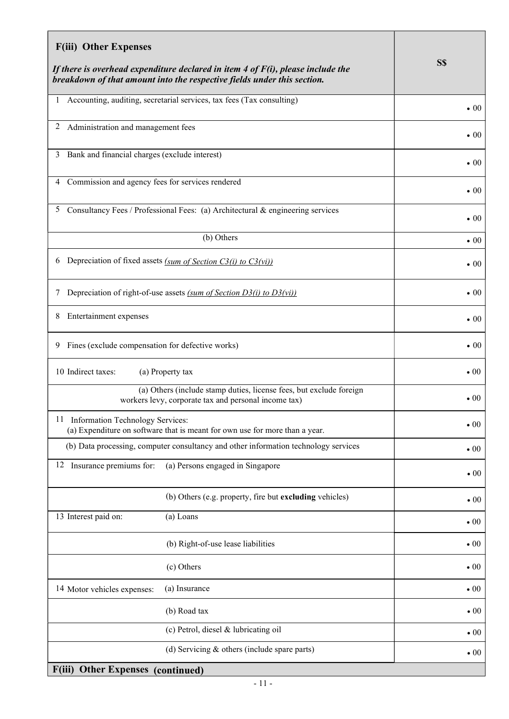| <b>F(iii) Other Expenses</b>                                                                                                                                  |                                                                     |              |
|---------------------------------------------------------------------------------------------------------------------------------------------------------------|---------------------------------------------------------------------|--------------|
| If there is overhead expenditure declared in item 4 of $F(i)$ , please include the<br>breakdown of that amount into the respective fields under this section. | S\$                                                                 |              |
| Accounting, auditing, secretarial services, tax fees (Tax consulting)                                                                                         | $\bullet$ 00                                                        |              |
| 2<br>Administration and management fees                                                                                                                       |                                                                     | $\bullet$ 00 |
| 3 Bank and financial charges (exclude interest)                                                                                                               |                                                                     | $\bullet$ 00 |
| 4 Commission and agency fees for services rendered                                                                                                            |                                                                     | $\bullet$ 00 |
| Consultancy Fees / Professional Fees: (a) Architectural & engineering services<br>5                                                                           |                                                                     | $\bullet$ 00 |
| (b) Others                                                                                                                                                    |                                                                     | $\bullet$ 00 |
| Depreciation of fixed assets $(sum of Section C3(i) to C3(vi))$<br>6                                                                                          |                                                                     | $\bullet$ 00 |
| Depreciation of right-of-use assets (sum of Section D3(i) to D3(vi))<br>7                                                                                     | $\bullet$ 00                                                        |              |
| Entertainment expenses<br>8                                                                                                                                   | $\bullet$ 00                                                        |              |
| 9 Fines (exclude compensation for defective works)                                                                                                            | $\bullet$ 00                                                        |              |
| 10 Indirect taxes:<br>(a) Property tax                                                                                                                        |                                                                     | $\bullet$ 00 |
| workers levy, corporate tax and personal income tax)                                                                                                          | (a) Others (include stamp duties, license fees, but exclude foreign | $\bullet$ 00 |
| 11 Information Technology Services:<br>(a) Expenditure on software that is meant for own use for more than a year.                                            | $\bullet$ 00                                                        |              |
| (b) Data processing, computer consultancy and other information technology services                                                                           |                                                                     | $\cdot 00$   |
| 12 Insurance premiums for:<br>(a) Persons engaged in Singapore                                                                                                |                                                                     | $\bullet$ 00 |
|                                                                                                                                                               | (b) Others (e.g. property, fire but excluding vehicles)             | $\bullet$ 00 |
| 13 Interest paid on:<br>(a) Loans                                                                                                                             |                                                                     | $\bullet$ 00 |
| (b) Right-of-use lease liabilities                                                                                                                            |                                                                     | $\bullet$ 00 |
| (c) Others                                                                                                                                                    |                                                                     | $\bullet$ 00 |
| (a) Insurance<br>14 Motor vehicles expenses:                                                                                                                  |                                                                     | $\bullet$ 00 |
| (b) Road tax                                                                                                                                                  |                                                                     | $\bullet$ 00 |
| (c) Petrol, diesel & lubricating oil                                                                                                                          |                                                                     | $\bullet$ 00 |
|                                                                                                                                                               | (d) Servicing $&$ others (include spare parts)                      | $\bullet$ 00 |
| F(iii) Other Expenses (continued)                                                                                                                             |                                                                     |              |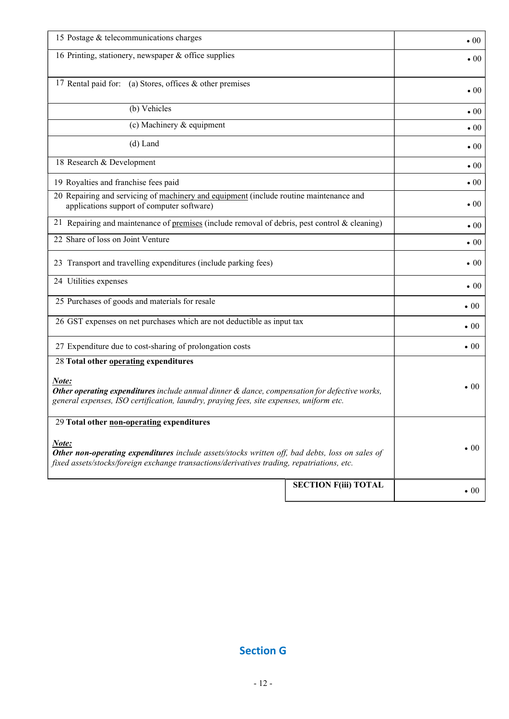| 15 Postage & telecommunications charges                                                                                                                                                                | $\bullet$ 00 |
|--------------------------------------------------------------------------------------------------------------------------------------------------------------------------------------------------------|--------------|
| 16 Printing, stationery, newspaper & office supplies                                                                                                                                                   | $\bullet$ 00 |
| 17 Rental paid for: (a) Stores, offices & other premises                                                                                                                                               | $\bullet$ 00 |
| (b) Vehicles                                                                                                                                                                                           | $\bullet$ 00 |
| (c) Machinery & equipment                                                                                                                                                                              | $\bullet$ 00 |
| $(d)$ Land                                                                                                                                                                                             | $\bullet$ 00 |
| 18 Research & Development                                                                                                                                                                              | $\bullet$ 00 |
| 19 Royalties and franchise fees paid                                                                                                                                                                   | $\bullet$ 00 |
| 20 Repairing and servicing of machinery and equipment (include routine maintenance and<br>applications support of computer software)                                                                   | $\cdot 00$   |
| 21 Repairing and maintenance of premises (include removal of debris, pest control $\&$ cleaning)                                                                                                       | $\bullet$ 00 |
| 22 Share of loss on Joint Venture                                                                                                                                                                      | $\bullet$ 00 |
| 23 Transport and travelling expenditures (include parking fees)                                                                                                                                        | $\bullet$ 00 |
| 24 Utilities expenses                                                                                                                                                                                  | $\bullet$ 00 |
| 25 Purchases of goods and materials for resale                                                                                                                                                         | $\bullet$ 00 |
| 26 GST expenses on net purchases which are not deductible as input tax                                                                                                                                 | $\bullet$ 00 |
| 27 Expenditure due to cost-sharing of prolongation costs                                                                                                                                               | $\bullet$ 00 |
| 28 Total other operating expenditures                                                                                                                                                                  |              |
| Note:<br>Other operating expenditures include annual dinner & dance, compensation for defective works,<br>general expenses, ISO certification, laundry, praying fees, site expenses, uniform etc.      | $\bullet$ 00 |
| 29 Total other non-operating expenditures                                                                                                                                                              |              |
| Note:<br>Other non-operating expenditures include assets/stocks written off, bad debts, loss on sales of<br>fixed assets/stocks/foreign exchange transactions/derivatives trading, repatriations, etc. | $\bullet$ 00 |
| <b>SECTION F(iii) TOTAL</b>                                                                                                                                                                            | $\bullet$ 00 |

# Section G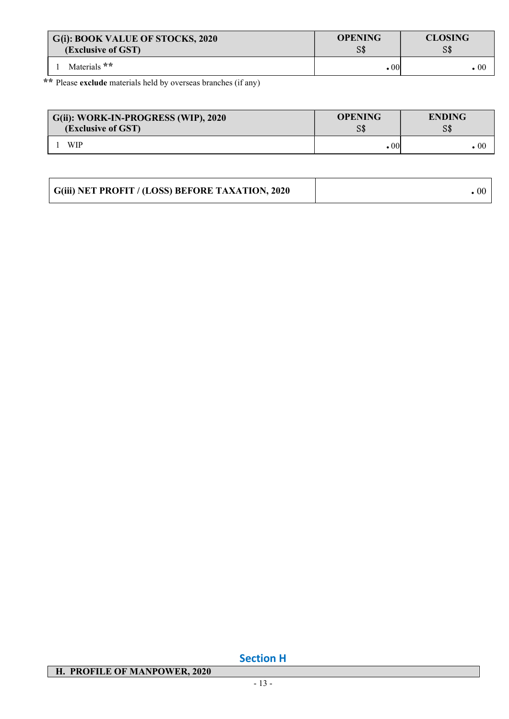| G(i): BOOK VALUE OF STOCKS, 2020 | <b>OPENING</b> | <b>CLOSING</b> |
|----------------------------------|----------------|----------------|
| (Exclusive of GST)               | S\$            | S\$            |
| Materials **                     | . 00           | . 00           |

\*\* Please exclude materials held by overseas branches (if any)

| G(ii): WORK-IN-PROGRESS (WIP), 2020 | <b>OPENING</b>          | <b>ENDING</b>   |
|-------------------------------------|-------------------------|-----------------|
| (Exclusive of GST)                  | S\$                     | S\$             |
| <b>WIP</b>                          | $\boldsymbol{\cdot} 00$ | $\centerdot 00$ |

| G(iii) NET PROFIT / (LOSS) BEFORE TAXATION, 2020 |  |
|--------------------------------------------------|--|
|--------------------------------------------------|--|

# H. PROFILE OF MANPOWER, 2020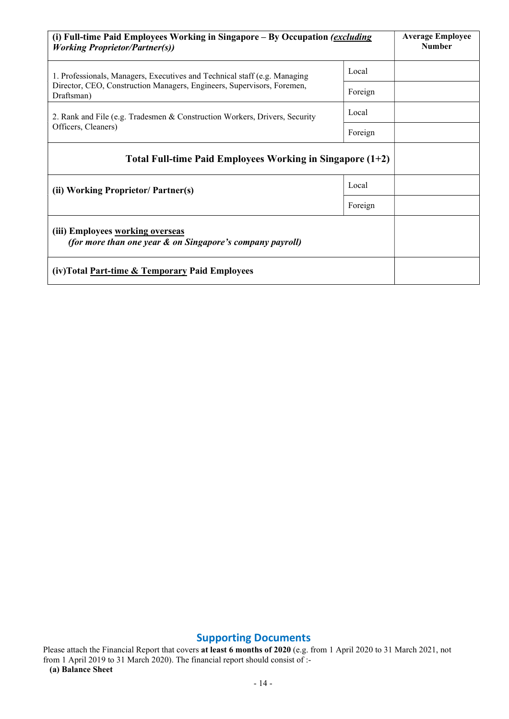| (i) Full-time Paid Employees Working in Singapore – By Occupation (excluding<br><b>Working Proprietor/Partner(s))</b> | <b>Average Employee</b><br><b>Number</b> |  |
|-----------------------------------------------------------------------------------------------------------------------|------------------------------------------|--|
| 1. Professionals, Managers, Executives and Technical staff (e.g. Managing                                             | Local                                    |  |
| Director, CEO, Construction Managers, Engineers, Supervisors, Foremen,<br>Draftsman)                                  |                                          |  |
| 2. Rank and File (e.g. Tradesmen & Construction Workers, Drivers, Security                                            | Local                                    |  |
| Officers, Cleaners)                                                                                                   | Foreign                                  |  |
| Total Full-time Paid Employees Working in Singapore (1+2)                                                             |                                          |  |
| (ii) Working Proprietor/ Partner(s)                                                                                   |                                          |  |
|                                                                                                                       |                                          |  |
| (iii) Employees working overseas<br>(for more than one year & on Singapore's company payroll)                         |                                          |  |
| (iv) Total Part-time & Temporary Paid Employees                                                                       |                                          |  |

# Supporting Documents

Please attach the Financial Report that covers at least 6 months of 2020 (e.g. from 1 April 2020 to 31 March 2021, not from 1 April 2019 to 31 March 2020). The financial report should consist of :- (a) Balance Sheet